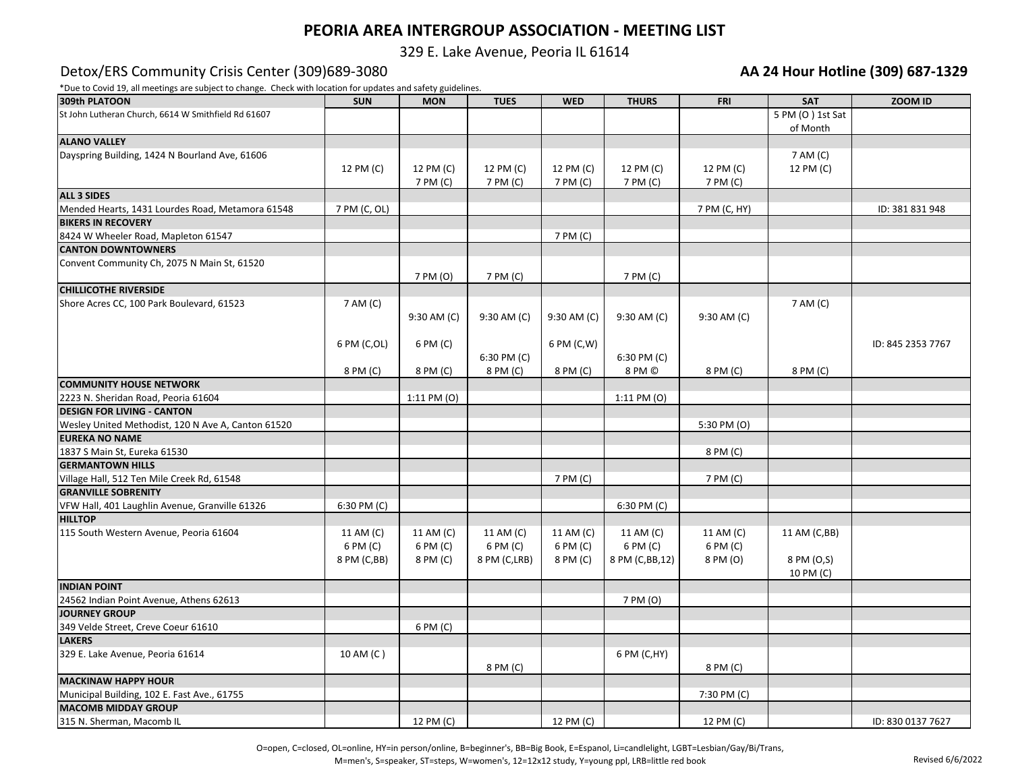# **PEORIA AREA INTERGROUP ASSOCIATION - MEETING LIST**

329 E. Lake Avenue, Peoria IL 61614

#### Detox/ERS Community Crisis Center (309) 689-3080

\*Due to Covid 19, all meetings are subject to change. Check with location for updates and safety guidelines.

| <b>AA 24 Hour Hotline (309) 687-1329</b> |  |  |
|------------------------------------------|--|--|
|------------------------------------------|--|--|

| 309th PLATOON                                       | <b>SUN</b>   | <b>MON</b>      | <b>TUES</b>  | <b>WED</b>  | <b>THURS</b>    | <b>FRI</b>   | <b>SAT</b>              | ZOOM ID           |
|-----------------------------------------------------|--------------|-----------------|--------------|-------------|-----------------|--------------|-------------------------|-------------------|
| St John Lutheran Church, 6614 W Smithfield Rd 61607 |              |                 |              |             |                 |              | 5 PM (O) 1st Sat        |                   |
|                                                     |              |                 |              |             |                 |              | of Month                |                   |
| <b>ALANO VALLEY</b>                                 |              |                 |              |             |                 |              |                         |                   |
| Dayspring Building, 1424 N Bourland Ave, 61606      |              |                 |              |             |                 |              | 7 AM (C)                |                   |
|                                                     | 12 PM (C)    | 12 PM (C)       | 12 PM (C)    | 12 PM (C)   | 12 PM (C)       | 12 PM (C)    | 12 PM (C)               |                   |
|                                                     |              | 7 PM (C)        | 7 PM (C)     | 7 PM (C)    | 7 PM (C)        | 7 PM (C)     |                         |                   |
| <b>ALL 3 SIDES</b>                                  |              |                 |              |             |                 |              |                         |                   |
| Mended Hearts, 1431 Lourdes Road, Metamora 61548    | 7 PM (C, OL) |                 |              |             |                 | 7 PM (C, HY) |                         | ID: 381 831 948   |
| <b>BIKERS IN RECOVERY</b>                           |              |                 |              |             |                 |              |                         |                   |
| 8424 W Wheeler Road, Mapleton 61547                 |              |                 |              | 7 PM (C)    |                 |              |                         |                   |
| <b>CANTON DOWNTOWNERS</b>                           |              |                 |              |             |                 |              |                         |                   |
| Convent Community Ch, 2075 N Main St, 61520         |              | 7 PM (O)        | 7 PM (C)     |             | 7 PM (C)        |              |                         |                   |
| <b>CHILLICOTHE RIVERSIDE</b>                        |              |                 |              |             |                 |              |                         |                   |
| Shore Acres CC, 100 Park Boulevard, 61523           | 7 AM (C)     |                 |              |             |                 |              | 7 AM (C)                |                   |
|                                                     |              | 9:30 AM (C)     | 9:30 AM (C)  | 9:30 AM (C) | 9:30 AM (C)     | 9:30 AM (C)  |                         |                   |
|                                                     |              |                 |              |             |                 |              |                         |                   |
|                                                     | 6 PM (C,OL)  | 6 PM (C)        |              | 6 PM (C,W)  |                 |              |                         | ID: 845 2353 7767 |
|                                                     |              |                 | 6:30 PM (C)  |             | $6:30$ PM $(C)$ |              |                         |                   |
|                                                     | 8 PM (C)     | 8 PM (C)        | 8 PM (C)     | 8 PM (C)    | 8 PM ©          | 8 PM (C)     | 8 PM (C)                |                   |
| <b>COMMUNITY HOUSE NETWORK</b>                      |              |                 |              |             |                 |              |                         |                   |
| 2223 N. Sheridan Road, Peoria 61604                 |              | $1:11$ PM $(0)$ |              |             | 1:11 PM (O)     |              |                         |                   |
| <b>DESIGN FOR LIVING - CANTON</b>                   |              |                 |              |             |                 |              |                         |                   |
| Wesley United Methodist, 120 N Ave A, Canton 61520  |              |                 |              |             |                 | 5:30 PM (O)  |                         |                   |
| <b>EUREKA NO NAME</b>                               |              |                 |              |             |                 |              |                         |                   |
| 1837 S Main St, Eureka 61530                        |              |                 |              |             |                 | 8 PM (C)     |                         |                   |
| <b>GERMANTOWN HILLS</b>                             |              |                 |              |             |                 |              |                         |                   |
| Village Hall, 512 Ten Mile Creek Rd, 61548          |              |                 |              | 7 PM (C)    |                 | 7 PM (C)     |                         |                   |
| <b>GRANVILLE SOBRENITY</b>                          |              |                 |              |             |                 |              |                         |                   |
| VFW Hall, 401 Laughlin Avenue, Granville 61326      | 6:30 PM (C)  |                 |              |             | 6:30 PM (C)     |              |                         |                   |
| <b>HILLTOP</b>                                      |              |                 |              |             |                 |              |                         |                   |
| 115 South Western Avenue, Peoria 61604              | 11 AM (C)    | 11 AM (C)       | 11 AM (C)    | 11 AM (C)   | 11 AM (C)       | 11 AM (C)    | 11 AM (C,BB)            |                   |
|                                                     | 6 PM (C)     | 6 PM (C)        | 6 PM (C)     | 6 PM (C)    | 6 PM (C)        | 6 PM (C)     |                         |                   |
|                                                     | 8 PM (C,BB)  | 8 PM (C)        | 8 PM (C,LRB) | 8 PM (C)    | 8 PM (C,BB,12)  | 8 PM (O)     | 8 PM (O,S)<br>10 PM (C) |                   |
| <b>INDIAN POINT</b>                                 |              |                 |              |             |                 |              |                         |                   |
| 24562 Indian Point Avenue, Athens 62613             |              |                 |              |             | 7 PM (O)        |              |                         |                   |
| <b>JOURNEY GROUP</b>                                |              |                 |              |             |                 |              |                         |                   |
| 349 Velde Street, Creve Coeur 61610                 |              | 6 PM (C)        |              |             |                 |              |                         |                   |
| <b>LAKERS</b>                                       |              |                 |              |             |                 |              |                         |                   |
| 329 E. Lake Avenue, Peoria 61614                    | 10 AM (C)    |                 |              |             | 6 PM (C,HY)     |              |                         |                   |
|                                                     |              |                 | 8 PM (C)     |             |                 | 8 PM (C)     |                         |                   |
| <b>MACKINAW HAPPY HOUR</b>                          |              |                 |              |             |                 |              |                         |                   |
| Municipal Building, 102 E. Fast Ave., 61755         |              |                 |              |             |                 | 7:30 PM (C)  |                         |                   |
| <b>MACOMB MIDDAY GROUP</b>                          |              |                 |              |             |                 |              |                         |                   |
| 315 N. Sherman, Macomb IL                           |              | 12 PM (C)       |              | 12 PM (C)   |                 | 12 PM (C)    |                         | ID: 830 0137 7627 |

O=open, C=closed, OL=online, HY=in person/online, B=beginner's, BB=Big Book, E=Espanol, Li=candlelight, LGBT=Lesbian/Gay/Bi/Trans,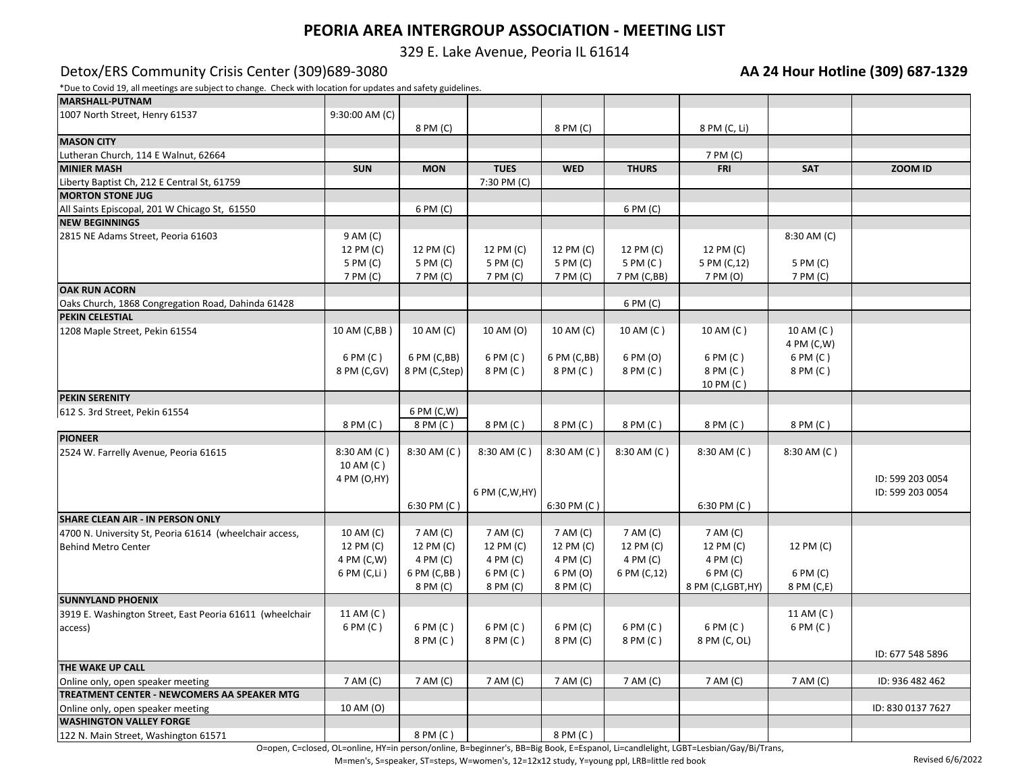# **PEORIA AREA INTERGROUP ASSOCIATION - MEETING LIST**

329 E. Lake Avenue, Peoria IL 61614

### Detox/ERS Community Crisis Center (309)689-3080 **AA 24 Hour Hotline (309) 687-1329**

\*Due to Covid 19, all meetings are subject to change. Check with location for updates and safety guidelines.

| <b>MARSHALL-PUTNAM</b>                                   |                |               |                 |             |              |                  |             |                   |
|----------------------------------------------------------|----------------|---------------|-----------------|-------------|--------------|------------------|-------------|-------------------|
| 1007 North Street, Henry 61537                           | 9:30:00 AM (C) |               |                 |             |              |                  |             |                   |
|                                                          |                | 8 PM (C)      |                 | 8 PM (C)    |              | 8 PM (C, Li)     |             |                   |
| <b>MASON CITY</b>                                        |                |               |                 |             |              |                  |             |                   |
| Lutheran Church, 114 E Walnut, 62664                     |                |               |                 |             |              | 7 PM (C)         |             |                   |
| <b>MINIER MASH</b>                                       | <b>SUN</b>     | <b>MON</b>    | <b>TUES</b>     | <b>WED</b>  | <b>THURS</b> | <b>FRI</b>       | <b>SAT</b>  | ZOOM ID           |
| Liberty Baptist Ch, 212 E Central St, 61759              |                |               | 7:30 PM (C)     |             |              |                  |             |                   |
| <b>MORTON STONE JUG</b>                                  |                |               |                 |             |              |                  |             |                   |
| All Saints Episcopal, 201 W Chicago St, 61550            |                | 6 PM (C)      |                 |             | 6 PM (C)     |                  |             |                   |
| <b>NEW BEGINNINGS</b>                                    |                |               |                 |             |              |                  |             |                   |
| 2815 NE Adams Street, Peoria 61603                       | 9 AM (C)       |               |                 |             |              |                  | 8:30 AM (C) |                   |
|                                                          | 12 PM (C)      | 12 PM (C)     | 12 PM (C)       | 12 PM (C)   | 12 PM (C)    | 12 PM (C)        |             |                   |
|                                                          | 5 PM (C)       | 5 PM (C)      | 5 PM (C)        | 5 PM (C)    | 5 PM (C)     | 5 PM (C,12)      | 5 PM (C)    |                   |
|                                                          | 7 PM (C)       | 7 PM (C)      | 7 PM (C)        | 7 PM (C)    | 7 PM (C,BB)  | 7 PM (O)         | 7 PM (C)    |                   |
| <b>OAK RUN ACORN</b>                                     |                |               |                 |             |              |                  |             |                   |
| Oaks Church, 1868 Congregation Road, Dahinda 61428       |                |               |                 |             | 6 PM (C)     |                  |             |                   |
| PEKIN CELESTIAL                                          |                |               |                 |             |              |                  |             |                   |
| 1208 Maple Street, Pekin 61554                           | 10 AM (C,BB)   | 10 AM (C)     | 10 AM (O)       | 10 AM (C)   | 10 AM (C)    | 10 AM (C)        | 10 AM (C)   |                   |
|                                                          |                |               |                 |             |              |                  | 4 PM (C,W)  |                   |
|                                                          | 6 PM (C)       | 6 PM (C,BB)   | 6 PM (C)        | 6 PM (C,BB) | 6 PM (O)     | 6 PM (C)         | 6 PM (C)    |                   |
|                                                          | 8 PM (C,GV)    | 8 PM (C,Step) | 8 PM (C)        | 8 PM (C)    | 8 PM (C)     | 8 PM (C)         | 8 PM (C)    |                   |
|                                                          |                |               |                 |             |              | 10 PM (C)        |             |                   |
| <b>PEKIN SERENITY</b>                                    |                |               |                 |             |              |                  |             |                   |
| 612 S. 3rd Street, Pekin 61554                           |                | 6 PM (C,W)    |                 |             |              |                  |             |                   |
|                                                          | 8 PM (C)       | 8 PM (C)      | 8 PM (C)        | 8 PM (C)    | 8 PM (C)     | 8 PM (C)         | 8 PM (C)    |                   |
| <b>PIONEER</b>                                           |                |               |                 |             |              |                  |             |                   |
| 2524 W. Farrelly Avenue, Peoria 61615                    | 8:30 AM (C)    | 8:30 AM (C)   | 8:30 AM (C)     | 8:30 AM (C) | 8:30 AM (C)  | 8:30 AM (C)      | 8:30 AM (C) |                   |
|                                                          | 10 AM (C)      |               |                 |             |              |                  |             |                   |
|                                                          | 4 PM (O,HY)    |               |                 |             |              |                  |             | ID: 599 203 0054  |
|                                                          |                |               | 6 PM (C, W, HY) |             |              |                  |             | ID: 599 203 0054  |
|                                                          |                | 6:30 PM (C)   |                 | 6:30 PM (C) |              | 6:30 PM (C)      |             |                   |
| SHARE CLEAN AIR - IN PERSON ONLY                         |                |               |                 |             |              |                  |             |                   |
| 4700 N. University St, Peoria 61614 (wheelchair access,  | 10 AM (C)      | 7 AM (C)      | 7 AM (C)        | 7 AM (C)    | 7 AM (C)     | 7 AM (C)         |             |                   |
| <b>Behind Metro Center</b>                               | 12 PM (C)      | 12 PM (C)     | 12 PM (C)       | 12 PM (C)   | 12 PM (C)    | 12 PM (C)        | 12 PM (C)   |                   |
|                                                          | 4 PM (C,W)     | 4 PM (C)      | 4 PM (C)        | 4 PM (C)    | 4 PM (C)     | 4 PM (C)         |             |                   |
|                                                          | 6 PM (C,Li)    | 6 PM (C,BB)   | 6 PM (C)        | 6 PM (O)    | 6 PM (C,12)  | 6 PM (C)         | 6 PM (C)    |                   |
|                                                          |                | 8 PM (C)      | 8 PM (C)        | 8 PM (C)    |              | 8 PM (C,LGBT,HY) | 8 PM (C,E)  |                   |
| <b>SUNNYLAND PHOENIX</b>                                 |                |               |                 |             |              |                  |             |                   |
| 3919 E. Washington Street, East Peoria 61611 (wheelchair | 11 AM (C)      |               |                 |             |              |                  | 11 AM (C)   |                   |
| access)                                                  | 6 PM (C)       | 6 PM (C)      | 6 PM (C)        | 6 PM (C)    | 6 PM (C)     | 6 PM (C)         | 6 PM (C)    |                   |
|                                                          |                | 8 PM (C)      | 8 PM (C)        | 8 PM (C)    | 8 PM (C)     | 8 PM (C, OL)     |             |                   |
|                                                          |                |               |                 |             |              |                  |             | ID: 677 548 5896  |
| THE WAKE UP CALL                                         |                |               |                 |             |              |                  |             |                   |
| Online only, open speaker meeting                        | 7 AM (C)       | 7 AM (C)      | 7 AM (C)        | 7 AM (C)    | 7 AM (C)     | 7 AM (C)         | 7 AM (C)    | ID: 936 482 462   |
| TREATMENT CENTER - NEWCOMERS AA SPEAKER MTG              |                |               |                 |             |              |                  |             |                   |
| Online only, open speaker meeting                        | 10 AM (O)      |               |                 |             |              |                  |             | ID: 830 0137 7627 |
| <b>WASHINGTON VALLEY FORGE</b>                           |                |               |                 |             |              |                  |             |                   |
| 122 N. Main Street, Washington 61571                     |                | 8 PM (C)      |                 | 8 PM (C)    |              |                  |             |                   |
|                                                          |                |               |                 |             |              |                  |             |                   |

O=open, C=closed, OL=online, HY=in person/online, B=beginner's, BB=Big Book, E=Espanol, Li=candlelight, LGBT=Lesbian/Gay/Bi/Trans,

M=men's, S=speaker, ST=steps, W=women's, 12=12x12 study, Y=young ppl, LRB=little red book Revised 6/6/2022 Revised 6/6/2022